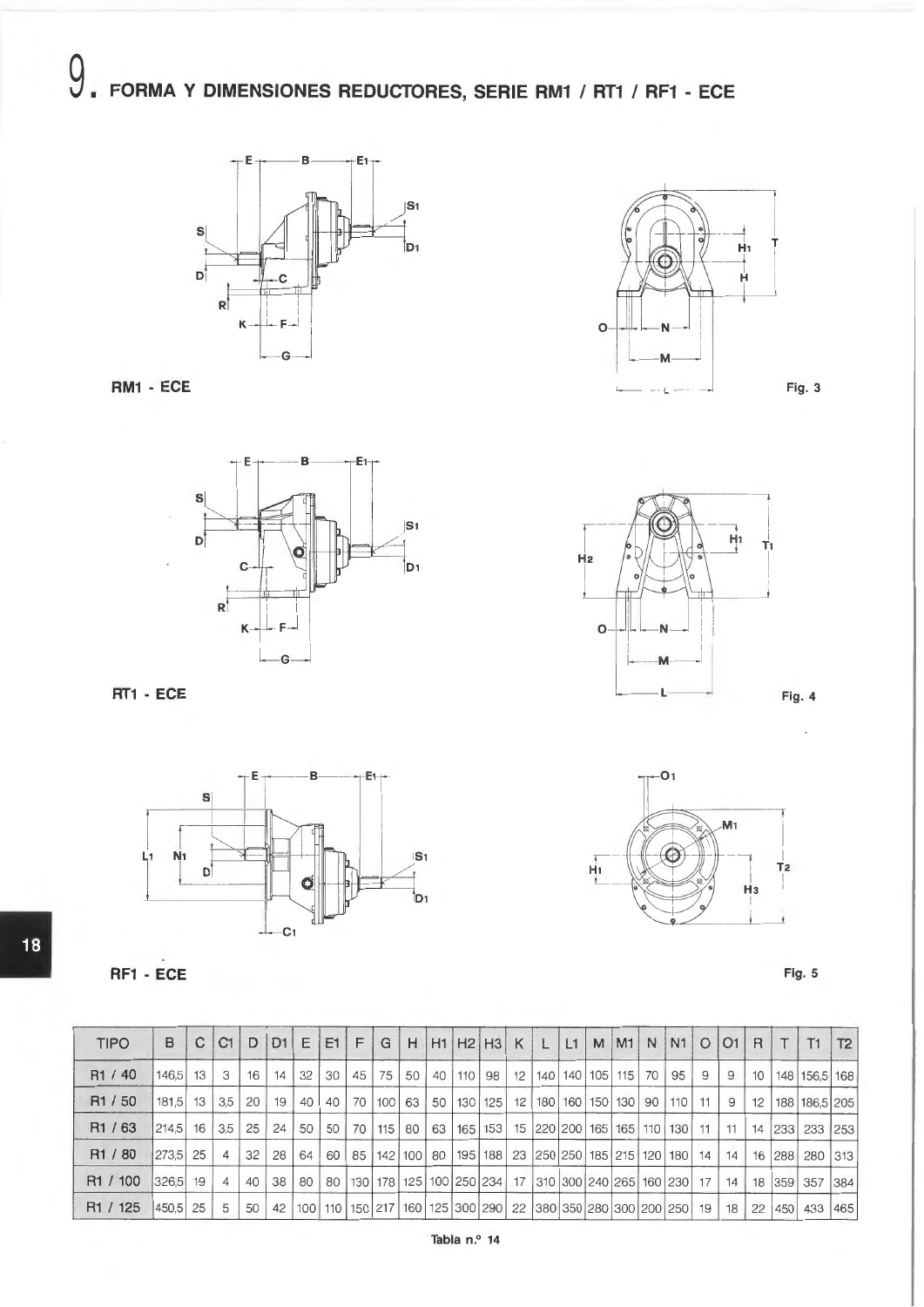









**Fig. 4** 



**Fig. 5** 

| <b>TIPO</b>          | B            | C  C1          | D               | $ D1  \in  E1  \in  $ |                 |                 |  |                           |                                                                                             |  |  |  |                                                        |    |  | G   H   H1   H2   H3   K   L   L1   M   M1   N   N1   O   O1   R   T   T1   T2 |  |
|----------------------|--------------|----------------|-----------------|-----------------------|-----------------|-----------------|--|---------------------------|---------------------------------------------------------------------------------------------|--|--|--|--------------------------------------------------------|----|--|--------------------------------------------------------------------------------|--|
| R <sub>1</sub> / 40  | 146.5 13     | 3 <sub>1</sub> | 16 <sup>1</sup> | 14                    | 32 <sup>1</sup> | 30 <sup>1</sup> |  | $45 \mid 75 \mid 50 \mid$ | 40   110                                                                                    |  |  |  | 98   12   140   140   105   115   70   95   9   9      |    |  | 10   148   156,5   168                                                         |  |
| R <sub>1</sub> / 50  | $181.5$ 13   | 3.5            |                 | 20 19                 | $40 \mid$       |                 |  |                           | 40   70   100   63   50   130   125   12   180   160   150   130   90   110   11   9        |  |  |  |                                                        |    |  | 12   188   186,5   205                                                         |  |
| R <sub>1</sub> / 63  | $214.5$ 16   | 3.5            | $25 \mid$       | 24'                   | 50              | 50              |  |                           | 70   115   80   63   165                                                                    |  |  |  | 153   15   220   200   165   165   110   130   11   11 |    |  | 14 233 233 253                                                                 |  |
| R <sub>1</sub> / 80  | 273,5 25     |                |                 | $32 \mid 28 \mid$     | 64              | 60              |  |                           | 85   142   100   80   195   188   23  250   250   185   215   120   180   14   14           |  |  |  |                                                        |    |  | 16   288   280   313                                                           |  |
| R <sub>1</sub> / 100 | $ 326.5 $ 19 | $\overline{4}$ | 140'            | 38                    | 80              |                 |  |                           | 80   130   178   125   100   250   234   17   310   300   240   265   160   230   17        |  |  |  |                                                        |    |  | 14   18   359   357   384                                                      |  |
| R <sub>1</sub> / 125 | 450.5 25     | 5              | 50              | 42                    |                 |                 |  |                           | 100   110   150   217   160   125   300   290   22   380   350   280   300   200   250   19 |  |  |  |                                                        | 18 |  | 22 450 433 465                                                                 |  |

**RT1 - ECE L** 

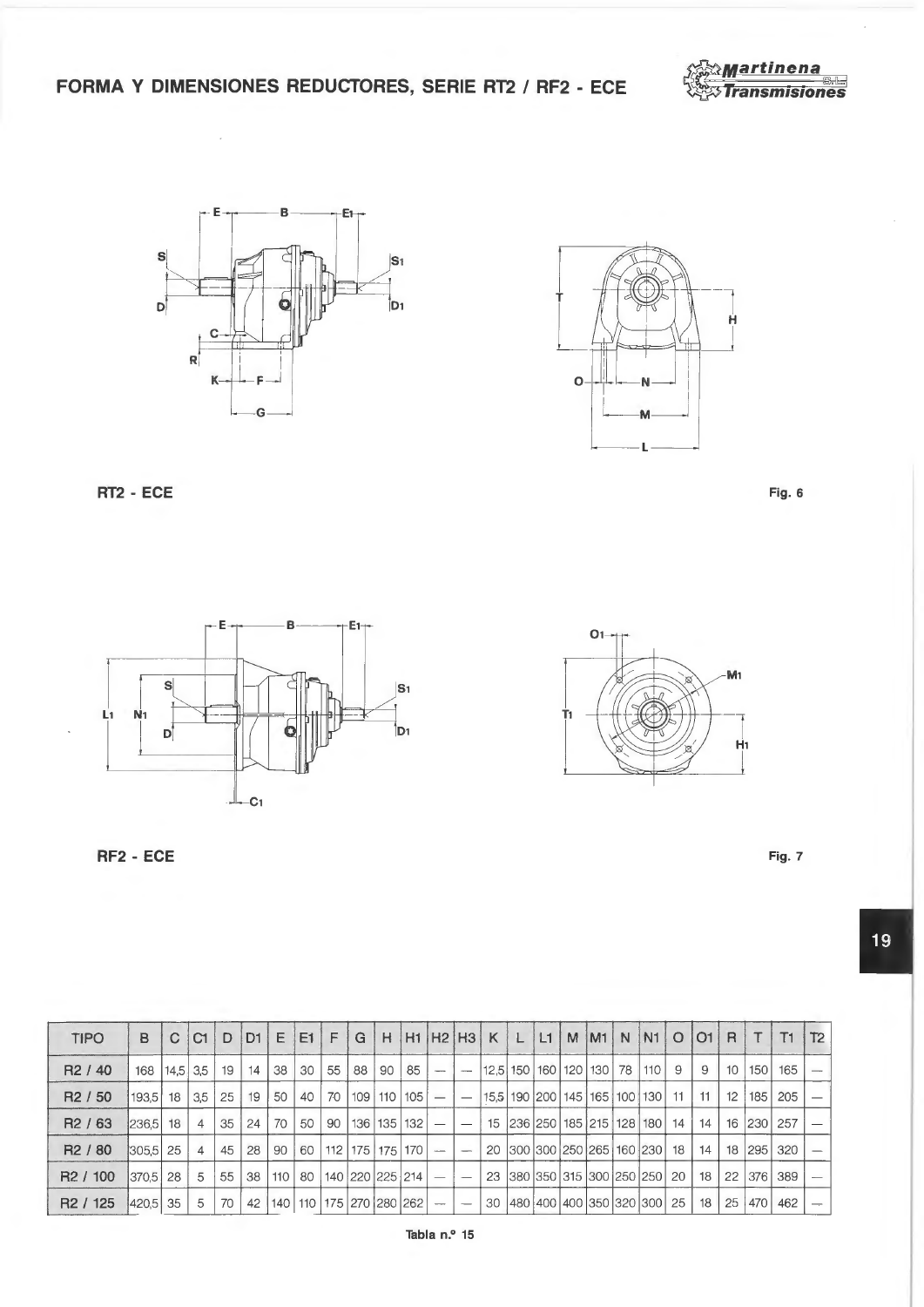FORMA Y DIMENSIONES REDUCTORES, SERIE RT2 / RF2 - ECE





 $\ddot{\phantom{a}}$ 



RT2 - ECE

RF2 - ECE





 $O1$ M<sub>1</sub>  $H<sub>1</sub>$ 

Fig. 7

19

| <b>TIPO</b>          | B                |    | <sub>C1</sub>  | D  | D1 | E.  | E1                                | F                | G  | H                     |                  |                                 | $H1$ $H2$ $H3$           | K  | L | L1 | M | IM1 | N | IN <sub>1</sub>                          | $\circ$ | O1 | R                | T   | T1         | T2 |
|----------------------|------------------|----|----------------|----|----|-----|-----------------------------------|------------------|----|-----------------------|------------------|---------------------------------|--------------------------|----|---|----|---|-----|---|------------------------------------------|---------|----|------------------|-----|------------|----|
| R <sub>2</sub> / 40  | 168   14,5   3,5 |    |                | 19 | 14 | 38  | 30                                | $\vert 55 \vert$ | 88 | 90                    | 85               | $\hspace{0.05cm}$               | $\overline{\phantom{m}}$ |    |   |    |   |     |   | 12,5 150 160 120 130 78  110             | 9       | 9  | 10 <sup>10</sup> | 150 | 165        |    |
| R <sub>2</sub> / 50  | 193.5            | 18 | 3,5            | 25 | 19 | 50  | 40                                | 70               |    | $109$   110           | 105              | $\hspace{0.1mm}-\hspace{0.1mm}$ | $\overline{\phantom{m}}$ |    |   |    |   |     |   | 15.5   190   200   145   165   100   130 | $11 -$  | 11 | 12               | 185 | 205        |    |
| R <sub>2</sub> / 63  | $ 236.5 $ 18     |    | $\overline{4}$ | 35 | 24 | 70  | 50                                | 90               |    | 136   135             | 132              |                                 | $\overline{\phantom{a}}$ | 15 |   |    |   |     |   | 236 250 185 215 128 180                  | 14      | 14 |                  |     | 16 230 257 |    |
| R <sub>2</sub> / 80  | $ 305.5 $ 25     |    | $\overline{4}$ | 45 | 28 | 90  | 60                                |                  |    | 112 175 175           | 170 <sub>l</sub> | $\overline{\phantom{a}}$        |                          | 20 |   |    |   |     |   | 300 300 250 265 160 230 18               |         | 14 |                  |     | 18 295 320 |    |
| R <sub>2</sub> / 100 | 370.5 28         |    | 5              | 55 | 38 | 110 | 80                                |                  |    | 140   220   225   214 |                  |                                 | $\overline{\phantom{m}}$ | 23 |   |    |   |     |   | 380 350 315 300 250 250 20               |         | 18 | 22               | 376 | 389        |    |
| R <sub>2</sub> / 125 | 420.5 35         |    | 5              | 70 | 42 |     | 140   110   175   270   280   262 |                  |    |                       |                  |                                 |                          | 30 |   |    |   |     |   | 480 400 400 350 320 300 25               |         | 18 | 25 <sup>1</sup>  | 470 | 462        |    |
|                      |                  |    |                |    |    |     |                                   |                  |    |                       |                  |                                 |                          |    |   |    |   |     |   |                                          |         |    |                  |     |            |    |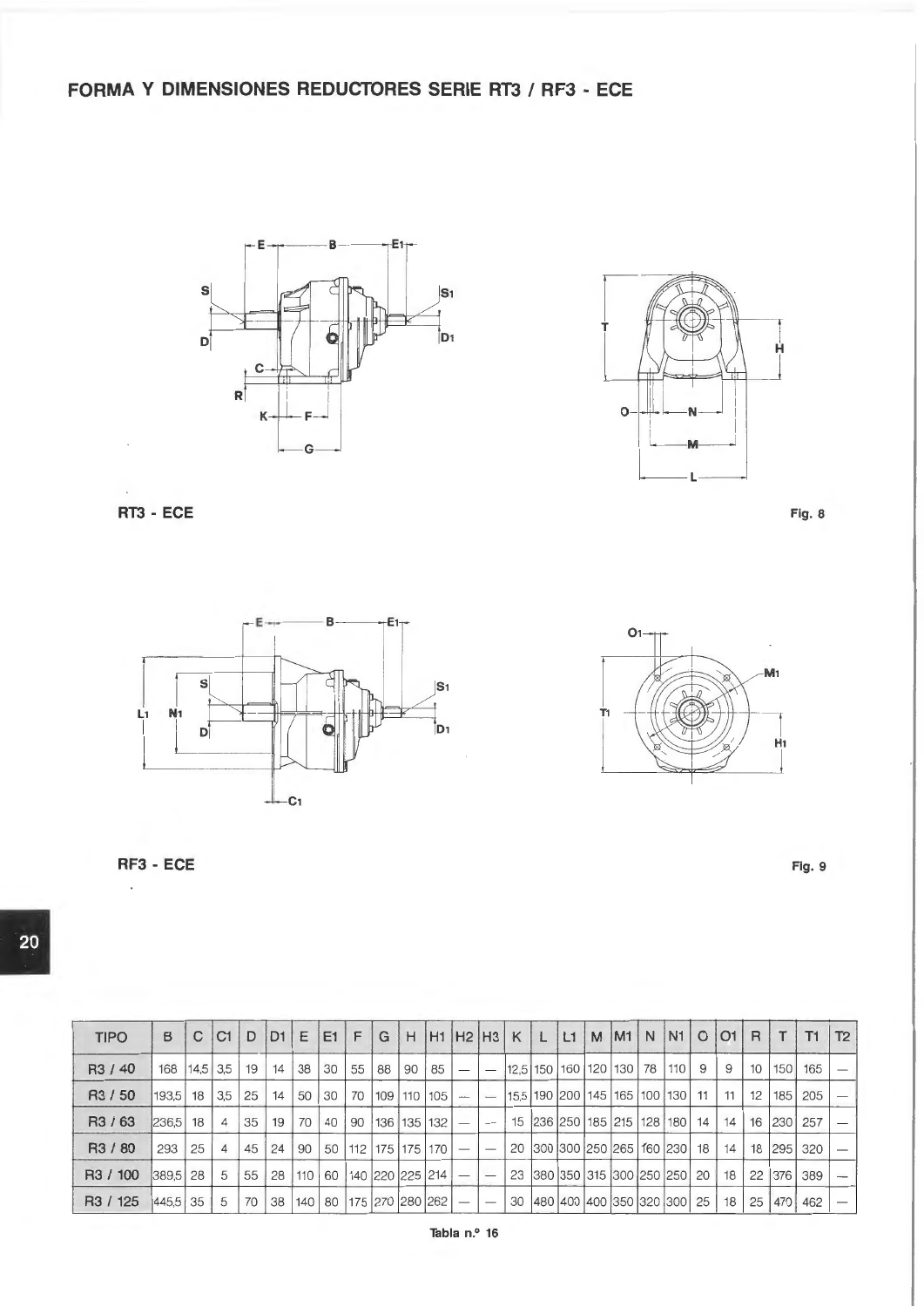**FORMA Y DIMENSIONES REDUCTORES SERIE RT3 I RF3 - ECE** 





**RT3 - ECE** Fig. 8





**RF3 - ECE** Fig. 9

**120** 

| <b>TIPO</b>                     | в                                    | C  | <b>C1</b>      | D  | $D1 \, E$ |           | E1           | F | $\cdot$ G                             | H |         |                          |    |                                      |  |  |   | H1 H2 H3 K L L1 M M N N1 O O1 R    |                 | $\mathsf{T}$ | T1         | T2 |
|---------------------------------|--------------------------------------|----|----------------|----|-----------|-----------|--------------|---|---------------------------------------|---|---------|--------------------------|----|--------------------------------------|--|--|---|------------------------------------|-----------------|--------------|------------|----|
| R <sub>3</sub> / 40             | 168   14,5   3,5   19   14   38   30 |    |                |    |           |           |              |   | 55 88                                 |   | 90   85 | $\overline{\phantom{0}}$ |    | $12,5$  150  160  120  130   78  110 |  |  | 9 | 9                                  | 10 <sup>1</sup> |              | 150 165    |    |
| R <sub>3</sub> / 50             | $193.5$ 18 3.5                       |    |                | 25 | 14        |           | $50 \mid 30$ |   | $70$   109   110   105   $-$          |   |         |                          |    |                                      |  |  |   | 15.5 190 200 145 165 100 130 11 11 | 12              |              | 185 205    |    |
| R <sub>3</sub> / 6 <sub>3</sub> | $ 236.5 $ 18                         |    | $\overline{4}$ | 35 | 19        |           | 70 40        |   | 90   136   135   132                  |   |         |                          |    |                                      |  |  |   | 15 236 250 185 215 128 180 14 14   |                 |              | 16 230 257 |    |
| R3 / 80                         | 293                                  | 25 | $\overline{4}$ | 45 | 24        | 90        | 50           |   | 112 175 175 170                       |   |         |                          |    |                                      |  |  |   | 20 300 300 250 265 160 230 18 14   |                 |              | 18 295 320 |    |
| R3 / 100                        | $ 389.5 $ 28                         |    | 5              | 55 |           | 28 110 60 |              |   | 140 220 225 214                       |   |         |                          |    | 23 380 350 315 300 250 250 20 18     |  |  |   |                                    | 22              |              | 376 389    |    |
| R3 / 125                        | 445,5 35                             |    | 5              | 70 |           |           |              |   | 38   140   80   175   270   280   262 |   |         |                          | 30 |                                      |  |  |   | 480 400 400 350 320 300 25 38      | 25              |              | 470 462    |    |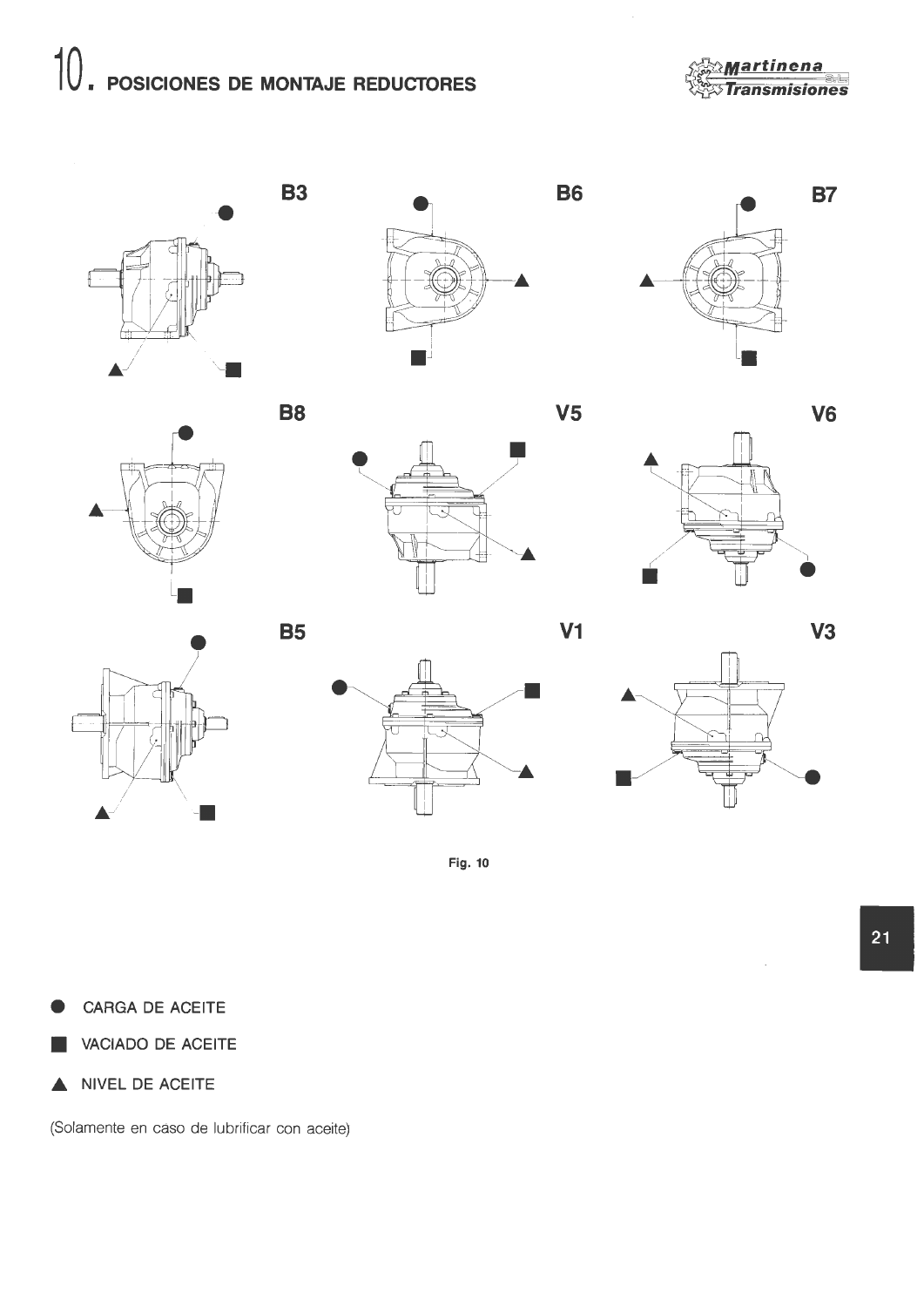# 10. POSICIONES DE MONTAJE REDUCTORES

**B3** 

**B8** 

**B5** 

**Martinena** ansmisiones





**B6** 













Fig. 10

CARGA DE ACEITE

VACIADO DE ACEITE

NIVEL DE ACEITE ▲

(Solamente en caso de lubrificar con aceite)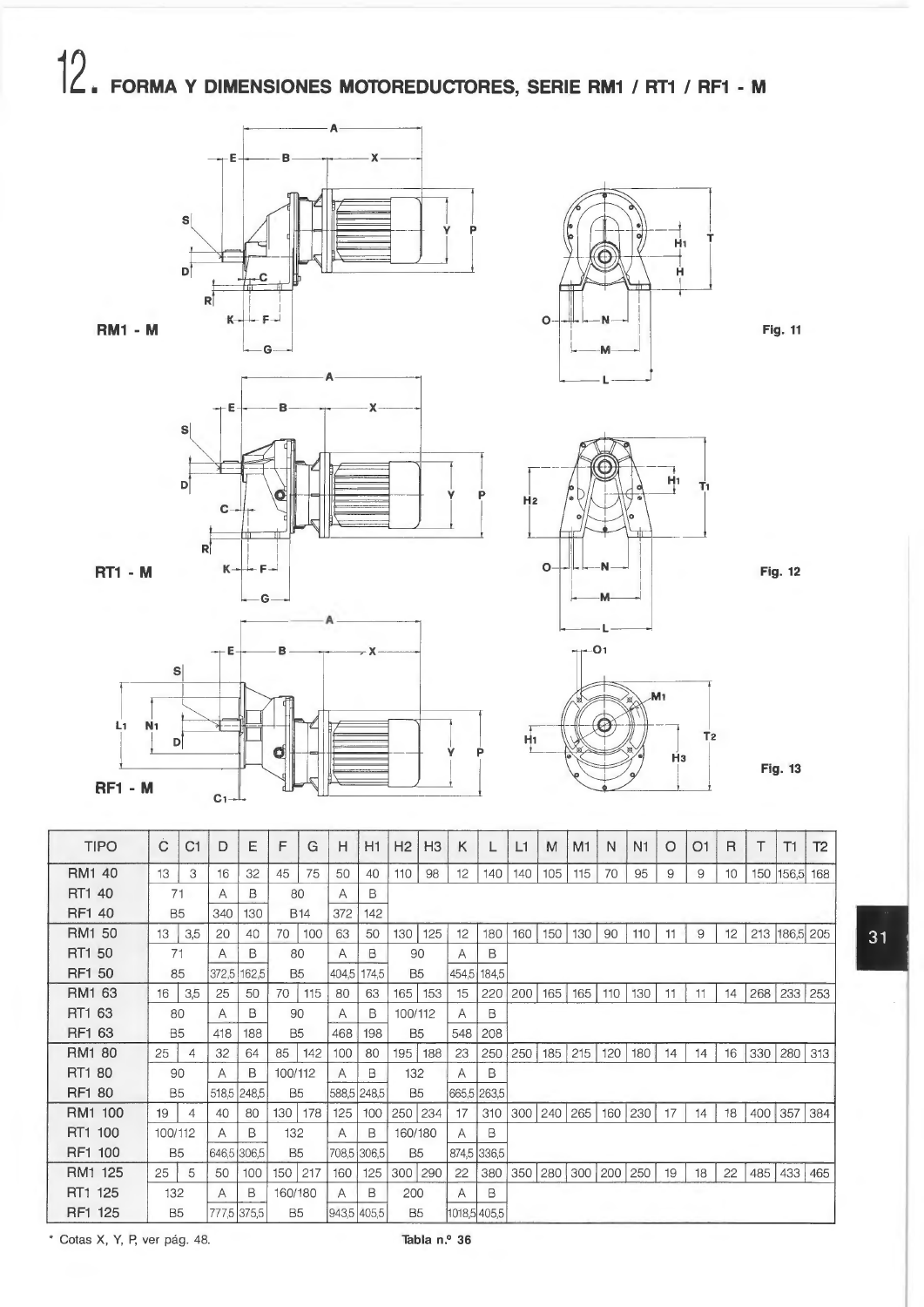## $12.$ FORMA Y DIMENSIONES MOTOREDUCTORES, SERIE RM1 / RT1 / RF1 - M











**Fig. 11** 



 $\frac{1}{L}$ 

**Fig. 12** 

**Fig. 13** 

 $31$ 

 $T<sub>2</sub>$ 

H<sub>3</sub>

| <b>TIPO</b>   | Ċ              | C1  | D     | E           | F              | G          | Η           | H1          | H <sub>2</sub> | H <sub>3</sub> | Κ            |       | L1  | M   | M <sub>1</sub> | N   | N <sub>1</sub> | $\circ$ | O1 | $\mathsf{R}$ | Τ   | T1            | T <sub>2</sub> |
|---------------|----------------|-----|-------|-------------|----------------|------------|-------------|-------------|----------------|----------------|--------------|-------|-----|-----|----------------|-----|----------------|---------|----|--------------|-----|---------------|----------------|
| RM1 40        | 13             | 3   | 16    | 32          | 45             | 75         | 50          | 40          | 110            | 98             | 12           | 140   | 140 | 105 | 115            | 70  | 95             | 9       | 9  | 10           | 150 | 156,5         | 168            |
| RT1 40        | 71             |     | Α     | B           | 80             |            | Α           | B           |                |                |              |       |     |     |                |     |                |         |    |              |     |               |                |
| RF1 40        | <b>B5</b>      |     | 340   | 130         |                | <b>B14</b> | 372         | 142         |                |                |              |       |     |     |                |     |                |         |    |              |     |               |                |
| RM1 50        | 13             | 3,5 | 20    | 40          | 70             | 100        | 63          | 50          | 130            | 125            | 12           | 180   | 160 | 150 | 130            | 90  | 110            | 11      | 9  | 12           |     | 213 186,5 205 |                |
| RT1 50        | 71             |     | Α     | В           | 80             |            | Α           | B           | 90             |                | Α            | B     |     |     |                |     |                |         |    |              |     |               |                |
| <b>RF1 50</b> | 85             |     | 372,5 | 162,5       | B <sub>5</sub> |            | 404,5       | 174,5       | B <sub>5</sub> |                | 454,5        | 184,5 |     |     |                |     |                |         |    |              |     |               |                |
| RM1 63        | 16             | 3,5 | 25    | 50          | 70             | 115        | 80          | 63          | 165            | 153            | 15           | 220   | 200 | 165 | 165            | 110 | 130            | 11      | 11 | 14           | 268 | 233           | 253            |
| RT1 63        | 80             |     | A     | в           | 90             |            | Α           | В           | 100/112        |                | A            | В     |     |     |                |     |                |         |    |              |     |               |                |
| RF1 63        | <b>B5</b>      |     | 418   | 188         | B <sub>5</sub> |            | 468         | 198         | <b>B5</b>      |                | 548          | 208   |     |     |                |     |                |         |    |              |     |               |                |
| RM1 80        | 25             | 4   | 32    | 64          | 85             | 142        | 100         | 80          | 195            | 188            | 23           | 250   | 250 | 185 | 215            | 120 | 180            | 14      | 14 | 16           | 330 | 280           | 313            |
| RT1 80        | 90             |     | Α     | B           | 100/112        |            | A           | в           | 132            |                | Α            | B     |     |     |                |     |                |         |    |              |     |               |                |
| RF1 80        | <b>B5</b>      |     |       | 518,5 248,5 | <b>B5</b>      |            |             | 588,5 248,5 | <b>B5</b>      |                | 665,5 263,5  |       |     |     |                |     |                |         |    |              |     |               |                |
| RM1 100       | 19             | 4   | 40    | 80          | 130            | 178        | 125         | 100         | 250            | 234            | 17           | 310   | 300 | 240 | 265            | 160 | 230            | 17      | 14 | 18           | 400 | 357           | 384            |
| RT1 100       | 100/112        |     | Α     | B           | 132            |            | A           | B           | 160/180        |                | Α            | B     |     |     |                |     |                |         |    |              |     |               |                |
| RF1 100       | B <sub>5</sub> |     |       | 646,5 306,5 | <b>B5</b>      |            |             | 708,5 306,5 | B <sub>5</sub> |                | 874,5 336,5  |       |     |     |                |     |                |         |    |              |     |               |                |
| RM1 125       | 25             | 5   | 50    | 100         | 150            | 217        | 160         | 125         | 300 290        |                | 22           | 380   | 350 | 280 | 300            | 200 | 250            | 19      | 18 | 22           | 485 | 433           | 465            |
| RT1 125       | 132            |     | A     | B           | 160/180        |            | A           | В           | 200            |                | A            | B     |     |     |                |     |                |         |    |              |     |               |                |
| RF1 125       | <b>B5</b>      |     |       | 777,5 375,5 | <b>B5</b>      |            | 943,5 405,5 |             | <b>B5</b>      |                | 1018,5 405,5 |       |     |     |                |     |                |         |    |              |     |               |                |

\* Cotas X, Y, P, ver pág. 48.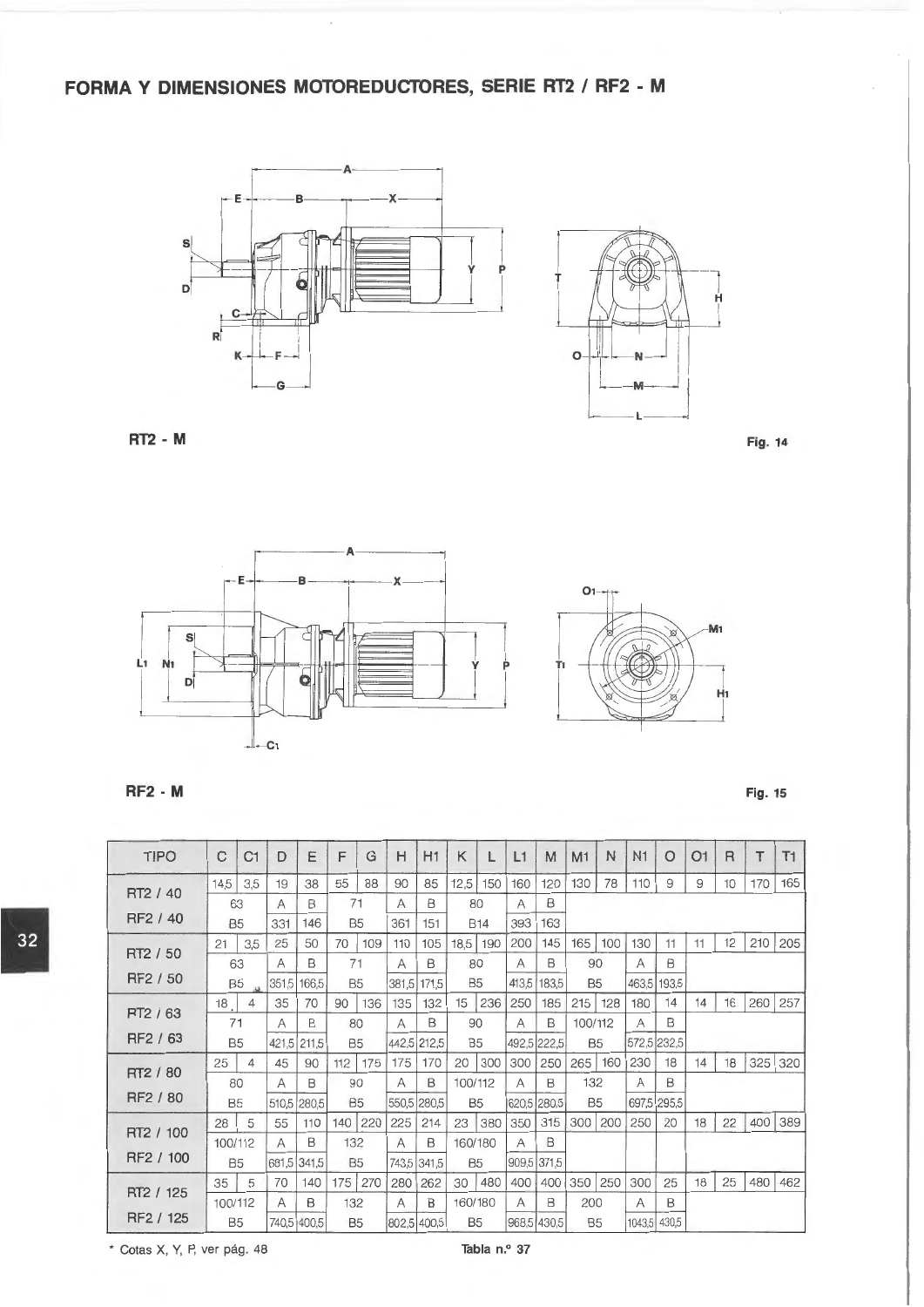## **FORMA Y DIMENSIONES MOTOREDUCTORES, SERIE RT2 I RF2 - M**





**RT2 - M** Fig. 14 **Fig. 14** 





**RF2 - M** Fig. 15

| <b>TIPO</b>     | C              | C1  | D              | E           | F         | G         | Н     | H1          | Κ         |            | L1    | M           | M1             | N   | N <sub>1</sub> | O     | O <sub>1</sub> | $\mathsf{R}$ |     | T1  |
|-----------------|----------------|-----|----------------|-------------|-----------|-----------|-------|-------------|-----------|------------|-------|-------------|----------------|-----|----------------|-------|----------------|--------------|-----|-----|
|                 | 14,5           | 3,5 | 19             | 38          | 55        | 88        | 90    | 85          | 12,5      | 150        | 160   | 120         | 130            | 78  | 110            | 9     | 9              | 10           | 170 | 165 |
| RT2 / 40        | 63             |     | A              | в           | 71        |           | A     | B           | 80        |            | A     | B           |                |     |                |       |                |              |     |     |
| RF2 / 40        | B <sub>5</sub> |     | 331            | 146         | <b>B5</b> |           | 361   | 151         |           | <b>B14</b> | 393   | 163         |                |     |                |       |                |              |     |     |
|                 | 21             | 3,5 | 25             | 50          | 70        | 109       | 110   | 105         | 18,5      | 190        | 200   | 145         | 165            | 100 | 130            | 11    | 11             | 12           | 210 | 205 |
| RT2 / 50        | 63             |     | A              | B           | 71        |           | A     | B           | 80        |            | A     | B           | 90             |     | A              | B     |                |              |     |     |
| RF2 / 50        | B <sub>5</sub> |     | 351,5          | 166,5       | <b>B5</b> |           | 381,5 | 171,5       | <b>B5</b> |            | 413,5 | 183,5       | <b>B5</b>      |     | 463,5          | 193.5 |                |              |     |     |
|                 | 18             | 4   | 35             | 70          | 90        | 136       | 135   | 132         | 15        | 236        | 250   | 185         | 215            | 128 | 180            | 14    | 14             | 16           | 260 | 257 |
| <b>PT2 / 63</b> | 71             |     | A              | В           | 80        |           | A     | B           | 90        |            | A     | B           | 100/112        |     | А              | В     |                |              |     |     |
| RF2 / 63        | <b>B5</b>      |     | 421,5          | 211,5       | <b>B5</b> |           |       | 442,5 212,5 | <b>B5</b> |            |       | 492,5 222,5 | B <sub>5</sub> |     | 572,5 232,5    |       |                |              |     |     |
|                 | 25             | 4   | 45             | 90          |           | $112$ 175 | 175   | 170         | 20        | 300        | 300   | 250         | 265 160        |     | 230            | 18    | 14             | 18           | 325 | 320 |
| RT2 / 80        | 80             |     | A              | B           | 90        |           | A     | B           | 100/112   |            | A     | B           | 132            |     | A              | B     |                |              |     |     |
| RF2 / 80        | B5             |     | 510,5          | 280,5       | <b>B5</b> |           |       | 550,5 280,5 | <b>B5</b> |            |       | 620,5 280,5 | B <sub>5</sub> |     | 697,5          | 295,5 |                |              |     |     |
|                 | 28             | 5   | 55             | 110         |           | 140 220   | 225   | 214         | 23        | 380        | 350   | 315         | 300 200        |     | 250            | 20    | 18             | 22           | 400 | 389 |
| RT2 / 100       | 100/112        |     | A              | B           | 132       |           | A     | B           | 160/180   |            | A     | B           |                |     |                |       |                |              |     |     |
| RF2 / 100       | B <sub>5</sub> |     | 681,5          | 341.5       | <b>B5</b> |           |       | 743,5 341,5 | <b>B5</b> |            |       | 909,5 371,5 |                |     |                |       |                |              |     |     |
|                 | 35             | 5   | 70             | 140         | 175       | 270       | 280   | 262         | 30        | 480        | 400   | 400         | 350            | 250 | 300            | 25    | 18             | 25           | 480 | 462 |
| RT2 / 125       | 100/112        |     | $\overline{A}$ | B           | 132       |           | Α     | B           | 160/180   |            | A     | B           | 200            |     | A              | B     |                |              |     |     |
| RF2 / 125       | <b>B5</b>      |     |                | 740,5 400,5 | <b>B5</b> |           |       | 802,5 400,5 | <b>B5</b> |            |       | 968,5 430,5 | <b>B5</b>      |     | 1043,5 430,5   |       |                |              |     |     |

\* Cotas X, Y, P, ver pág. 48 **Tabla n.0 37**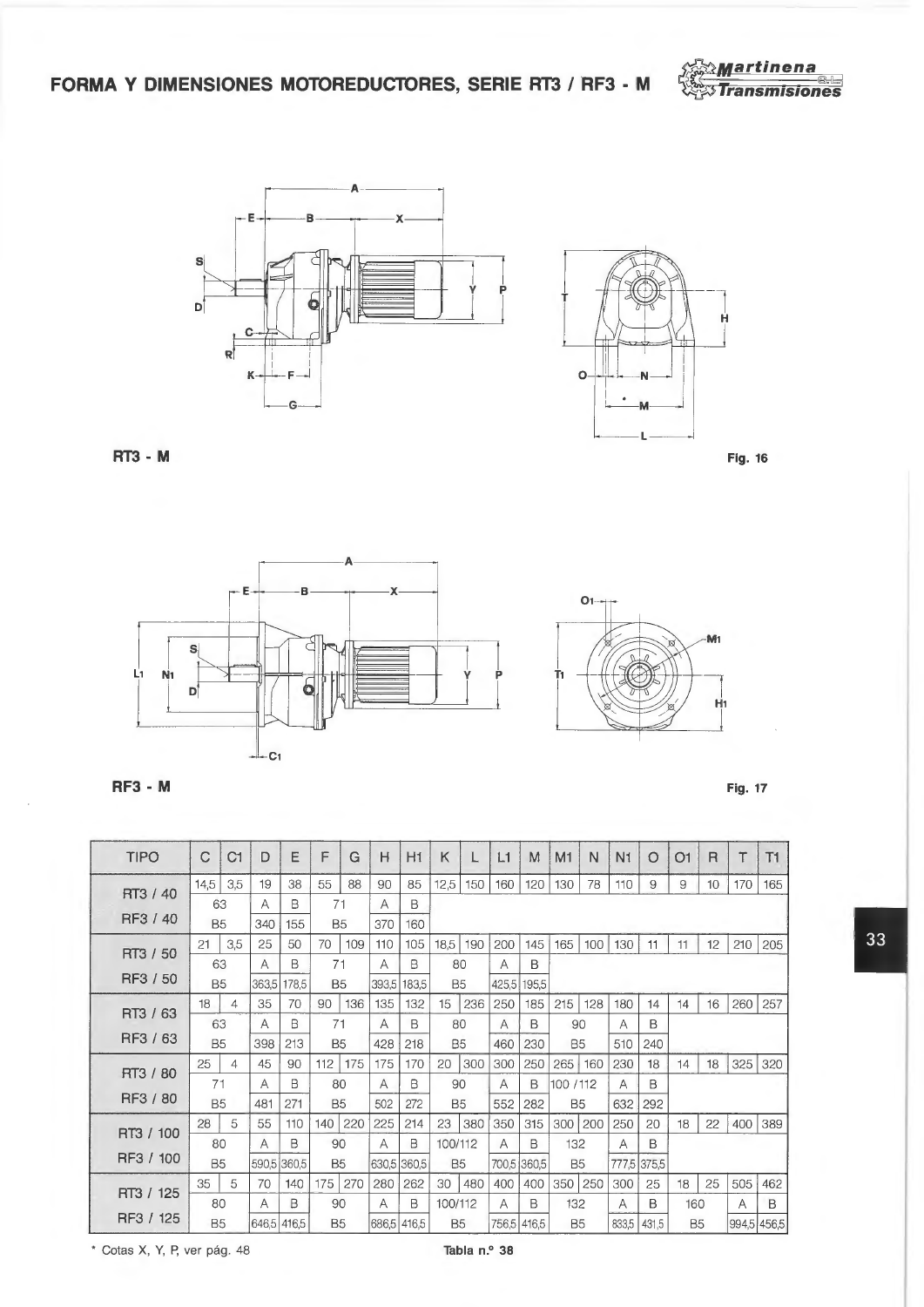FORMA Y DIMENSIONES MOTOREDUCTORES, SERIE RT3 / RF3 - M







RT3 - M



**Fig. 17** 





**RF3 - M** 

| <b>TIPO</b> | Č               | C1  | D           | E           | F               | G   | H            | H1           | K                    |     | L1           | M            | M1        | N   | N1    | O     | O <sub>1</sub> | $\overline{R}$ | Τ           | T1  |
|-------------|-----------------|-----|-------------|-------------|-----------------|-----|--------------|--------------|----------------------|-----|--------------|--------------|-----------|-----|-------|-------|----------------|----------------|-------------|-----|
| RT3 / 40    | 14,5            | 3,5 | 19          | 38          | 55              | 88  | 90           | 85           | 12,5                 | 150 | 160          | 120          | 130       | 78  | 110   | 9     | 9              | 10             | 170         | 165 |
| RF3 / 40    | 63<br><b>B5</b> |     | Α<br>340    | в<br>155    | 71<br><b>B5</b> |     | А<br>370     | B<br>160     |                      |     |              |              |           |     |       |       |                |                |             |     |
| RT3 / 50    | 21              | 3.5 | 25          | 50          | 70              | 109 | 110          | 105          | 18,5                 | 190 | 200          | 145          | 165       | 100 | 130   | 11    | 11             | 12             | 210         | 205 |
| RF3 / 50    |                 | 63  | А           | B           | 71              |     | А            | B            | 80                   |     | А            | B            |           |     |       |       |                |                |             |     |
|             | <b>B5</b><br>18 | 4   | 363,5<br>35 | 178,5<br>70 | <b>B5</b><br>90 | 136 | 393,5<br>135 | 183,5<br>132 | B <sub>5</sub><br>15 | 236 | 425,5<br>250 | 195,5<br>185 | 215       | 128 | 180   | 14    | 14             | 16             | 260         | 257 |
| RT3 / 63    | 63              |     | A           | B           | 71              |     | А            | B            | 80                   |     | Α            | B            | 90        |     | А     | B     |                |                |             |     |
| RF3 / 63    | <b>B5</b>       |     | 398         | 213         | <b>B5</b>       |     | 428          | 218          | B <sub>5</sub>       |     | 460          | 230          | <b>B5</b> |     | 510   | 240   |                |                |             |     |
| RT3 / 80    | 25              | 4   | 45          | 90          | 112             | 175 | 175          | 170          | 20                   | 300 | 300          | 250          | 265       | 160 | 230   | 18    | 14             | 18             | 325         | 320 |
|             | 71              |     | А           | B           | 80              |     | Α            | B            | 90                   |     | A            | B            | 100 / 112 |     | А     | B     |                |                |             |     |
| RF3 / 80    | B <sub>5</sub>  |     | 481         | 271         | <b>B5</b>       |     | 502          | 272          | B <sub>5</sub>       |     | 552          | 282          | <b>B5</b> |     | 632   | 292   |                |                |             |     |
| RT3 / 100   | 28              | 5   | 55          | 110         | 140             | 220 | 225          | 214          | 23                   | 380 | 350          | 315          | 300       | 200 | 250   | 20    | 18             | 22             | 400         | 389 |
|             | 80              |     | A           | B           | 90              |     | A            | B            | 100/112              |     | A            | B            | 132       |     | Α     | B     |                |                |             |     |
| RF3 / 100   | <b>B5</b>       |     | 590,5       | 360,5       | <b>B5</b>       |     | 630,5        | 360,5        | B <sub>5</sub>       |     |              | 700,5 360,5  | <b>B5</b> |     | 777,5 | 375,5 |                |                |             |     |
| RT3 / 125   | 35              | 5   | 70          | 140         | 175             | 270 | 280          | 262          | 30                   | 480 | 400          | 400          | 350       | 250 | 300   | 25    | 18             | 25             | 505         | 462 |
|             | 80              |     | А           | B           | 90              |     | А            | B            | 100/112              |     | А            | В            | 132       |     | Α     | B     | 160            |                | Α           | B   |
| RF3 / 125   | <b>B5</b>       |     | 646,5       | 416.5       | <b>B5</b>       |     | 686,5        | 416.5        | <b>B5</b>            |     | 756,5 416,5  |              | <b>B5</b> |     | 833,5 | 431,5 | <b>B5</b>      |                | 994,5 456,5 |     |

\* Cotas X, Y, P, ver pág. 48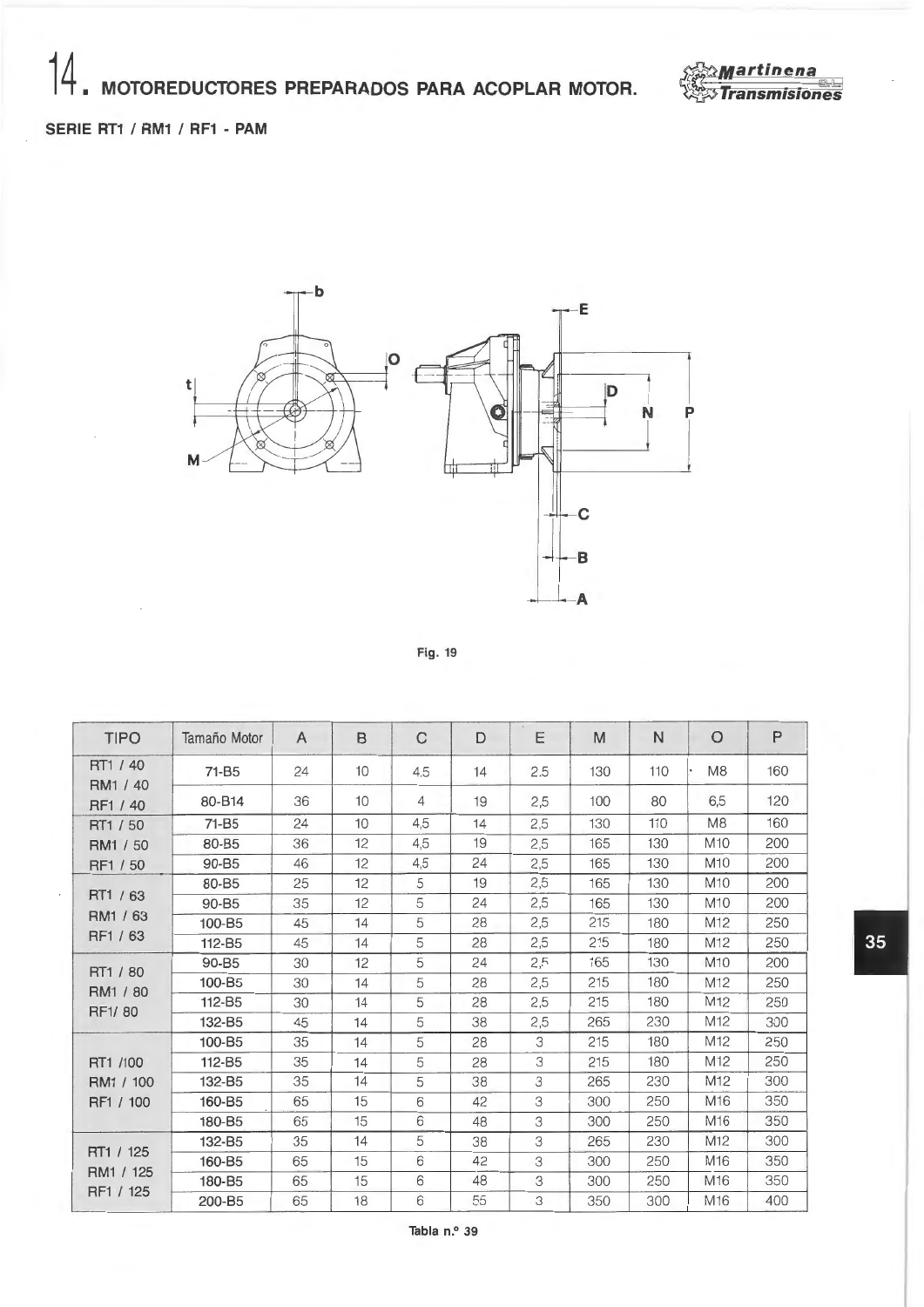

35

### **SERIE RT1 / RM1 / RF1 - PAM**



Fig. 19

| <b>TIPO</b>          | Tamaño Motor       | A  | B               | C   | D  | Е   | M   | N   | $\circ$         | P   |
|----------------------|--------------------|----|-----------------|-----|----|-----|-----|-----|-----------------|-----|
| RT1 / 40<br>RM1 / 40 | 71-B <sub>5</sub>  | 24 | 10              | 4.5 | 14 | 2.5 | 130 | 110 | M <sub>8</sub>  | 160 |
| RF1 / 40             | 80-B14             | 36 | 10 <sup>1</sup> | 4   | 19 | 2,5 | 100 | 80  | 6,5             | 120 |
| RT1 / 50             | $71 - B5$          | 24 | 10              | 4,5 | 14 | 2,5 | 130 | 110 | M8              | 160 |
| RM1 / 50             | 80-B5              | 36 | 12              | 4,5 | 19 | 2,5 | 165 | 130 | M <sub>10</sub> | 200 |
| RF1 / 50             | 90-B5              | 46 | 12              | 4,5 | 24 | 2,5 | 165 | 130 | M <sub>10</sub> | 200 |
|                      | 80-B5              | 25 | 12              | 5   | 19 | 2,5 | 165 | 130 | M <sub>10</sub> | 200 |
| RT1 / 63             | 90-B5              | 35 | 12              | 5   | 24 | 2,5 | 165 | 130 | M <sub>10</sub> | 200 |
| RM1 / 63             | 100-B5             | 45 | 14              | 5   | 28 | 2,5 | 215 | 180 | M12             | 250 |
| RF1 / 63             | 112-B5             | 45 | 14              | 5   | 28 | 2,5 | 215 | 180 | M12             | 250 |
| RT1 / 80             | 90-B5              | 30 | 12              | 5   | 24 | 2,5 | 165 | 130 | M <sub>10</sub> | 200 |
| RM1 / 80             | 100-B5             | 30 | 14              | 5   | 28 | 2,5 | 215 | 180 | M12             | 250 |
| RF1/80               | 112-B5             | 30 | 14              | 5   | 28 | 2,5 | 215 | 180 | M12             | 250 |
|                      | 132-B5             | 45 | 14              | 5   | 38 | 2,5 | 265 | 230 | M <sub>12</sub> | 300 |
|                      | 100-B5             | 35 | 14              | 5   | 28 | 3   | 215 | 180 | M <sub>12</sub> | 250 |
| RT1 /100             | 112-B <sub>5</sub> | 35 | 14              | 5   | 28 | 3   | 215 | 180 | M12             | 250 |
| RM1 / 100            | 132-B5             | 35 | 14              | 5   | 38 | 3   | 265 | 230 | M <sub>12</sub> | 300 |
| RF1 / 100            | 160-B5             | 65 | 15              | 6   | 42 | 3   | 300 | 250 | M16             | 350 |
|                      | 180-B5             | 65 | 15              | 6   | 48 | 3   | 300 | 250 | M <sub>16</sub> | 350 |
|                      | 132-B5             | 35 | 14              | 5   | 38 | 3   | 265 | 230 | M <sub>12</sub> | 300 |
| RT1 / 125            | 160-B5             | 65 | 15              | 6   | 42 | 3   | 300 | 250 | M <sub>16</sub> | 350 |
| RM1 / 125            | 180-B5             | 65 | 15              | 6   | 48 | 3   | 300 | 250 | M <sub>16</sub> | 350 |
| RF1 / 125            | 200-B5             | 65 | 18              | 6   | 55 | 3   | 350 | 300 | M <sub>16</sub> | 400 |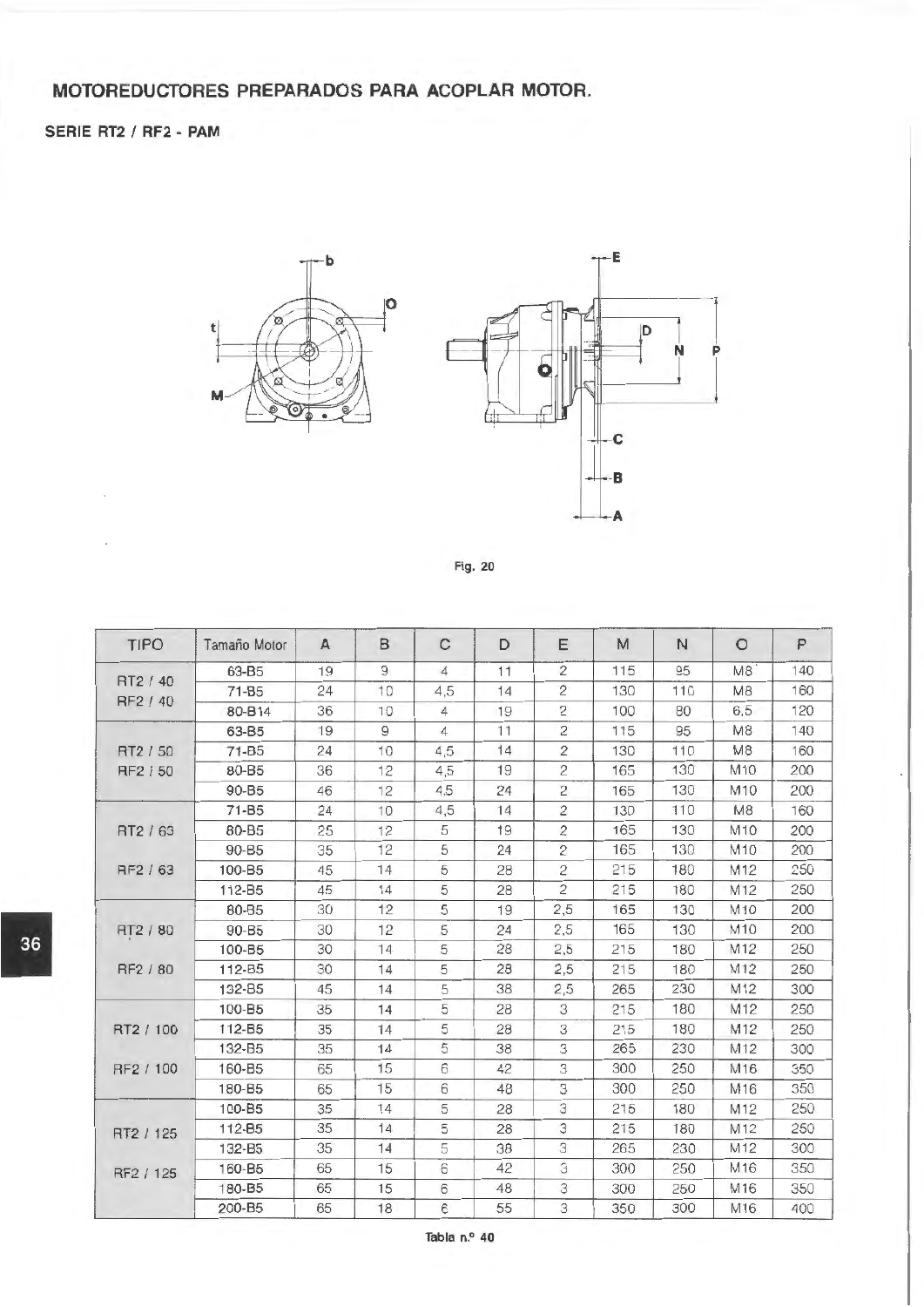## **MOTOREDUCTORES PREPARADOS PARA ACOPLAR MOTOR.**

#### **SERIE RT2 / RF2 - PAM**





|  | Fig. 20 |  |
|--|---------|--|
|  |         |  |

|    | <b>TIPO</b> | Tamaño Motor | $\mathbf{A}$ | B              | $\mathsf{C}$   | D  | Ε              | M   | N   | $\circ$        | P   |
|----|-------------|--------------|--------------|----------------|----------------|----|----------------|-----|-----|----------------|-----|
|    |             | 63-B5        | 19           | 9              | $\overline{4}$ | 11 | $\overline{c}$ | 115 | 95  | M <sub>8</sub> | 140 |
|    | RT2 / 40    | $71 - B5$    | 24           | 10             | 4,5            | 14 | $\mathbf{2}$   | 130 | 110 | M <sub>8</sub> | 160 |
|    | RF2 / 40    | 80-B14       | 36           | 10             | $\overline{4}$ | 19 | $\overline{c}$ | 100 | 80  | 6,5            | 120 |
|    |             | 63-B5        | 19           | $\overline{9}$ | $\overline{4}$ | 11 | $\overline{c}$ | 115 | 95  | M <sub>8</sub> | 140 |
|    | RT2 / 50    | $71 - B5$    | 24           | 10             | 4,5            | 14 | $\overline{c}$ | 130 | 110 | M <sub>8</sub> | 160 |
|    | RF2 / 50    | 80-B5        | 36           | 12             | 4,5            | 19 | $\overline{c}$ | 165 | 130 | M10            | 200 |
|    |             | $90 - B5$    | 46           | 12             | 4.5            | 24 | $\overline{c}$ | 165 | 130 | M10            | 200 |
|    |             | $71 - B5$    | 24           | 10             | 4,5            | 14 | $\overline{c}$ | 130 | 110 | <b>M8</b>      | 160 |
|    | RT2 / 63    | 80-B5        | 25           | 12             | 5              | 19 | 2              | 165 | 130 | M10            | 200 |
|    |             | 90-B5        | 35           | 12             | 5              | 24 | $\overline{c}$ | 165 | 130 | M10            | 200 |
|    | RF2 / 63    | 100-B5       | 45           | 14             | 5              | 28 | $\overline{c}$ | 215 | 180 | M12            | 250 |
|    |             | 112-B5       | 45           | 14             | 5              | 28 | $\overline{c}$ | 215 | 180 | M12            | 250 |
|    |             | 80-B5        | 30           | 12             | 5              | 19 | 2,5            | 165 | 130 | M10            | 200 |
|    | RT2 / 80    | 90-B5        | 30           | 12             | 5              | 24 | 2,5            | 165 | 130 | M10            | 200 |
| 36 |             | 100-B5       | 30           | 14             | 5              | 28 | 2,5            | 215 | 180 | M12            | 250 |
|    | RF2 / 80    | 112-B5       | 30           | 14             | 5              | 28 | 2,5            | 215 | 180 | M12            | 250 |
|    |             | 132-B5       | 45           | 14             | 5              | 38 | 2,5            | 265 | 230 | M12            | 300 |
|    |             | 100-B5       | 35           | 14             | 5              | 28 | 3              | 215 | 180 | M12            | 250 |
|    | RT2 / 100   | 112-B5       | 35           | 14             | 5              | 28 | 3              | 215 | 180 | M12            | 250 |
|    |             | 132-B5       | 35           | 14             | 5              | 38 | 3              | 265 | 230 | M12            | 300 |
|    | RF2 / 100   | 160-B5       | 65           | 15             | 6              | 42 | 3              | 300 | 250 | M16            | 350 |
|    |             | 180-B5       | 65           | 15             | 6              | 48 | 3              | 300 | 250 | M16            | 350 |
|    |             | 100-B5       | 35           | 14             | 5              | 28 | 3              | 215 | 180 | M12            | 250 |
|    | RT2 / 125   | 112-B5       | 35           | 14             | 5              | 28 | 3              | 215 | 180 | M12            | 250 |
|    |             | 132-B5       | 35           | 14             | 5              | 38 | 3              | 265 | 230 | M12            | 300 |
|    | RF2 / 125   | 160-B5       | 65           | 15             | 6              | 42 | 3              | 300 | 250 | M16            | 350 |
|    |             | 180-B5       | 65           | 15             | 6              | 48 | 3              | 300 | 250 | M16            | 350 |
|    |             | 200-B5       | 65           | 18             | 6              | 55 | 3              | 350 | 300 | M16            | 400 |